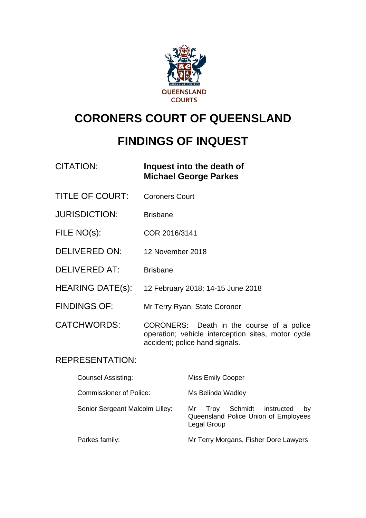

# **CORONERS COURT OF QUEENSLAND**

# **FINDINGS OF INQUEST**

| CITATION: | Inquest into the death of    |
|-----------|------------------------------|
|           | <b>Michael George Parkes</b> |

- TITLE OF COURT: Coroners Court
- JURISDICTION: Brisbane
- FILE NO(s): COR 2016/3141
- DELIVERED ON: 12 November 2018
- DELIVERED AT: Brisbane
- HEARING DATE(s): 12 February 2018; 14-15 June 2018
- FINDINGS OF: Mr Terry Ryan, State Coroner
- CATCHWORDS: CORONERS: Death in the course of a police operation; vehicle interception sites, motor cycle accident; police hand signals.

## REPRESENTATION:

| <b>Counsel Assisting:</b>       | <b>Miss Emily Cooper</b>                                                                      |
|---------------------------------|-----------------------------------------------------------------------------------------------|
| <b>Commissioner of Police:</b>  | Ms Belinda Wadley                                                                             |
| Senior Sergeant Malcolm Lilley: | Schmidt instructed<br>Trov<br>Mr<br>by<br>Queensland Police Union of Employees<br>Legal Group |
| Parkes family:                  | Mr Terry Morgans, Fisher Dore Lawyers                                                         |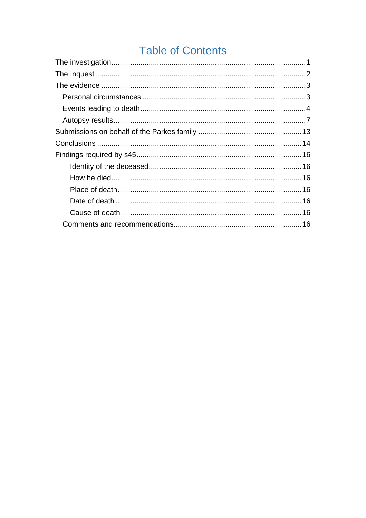# **Table of Contents**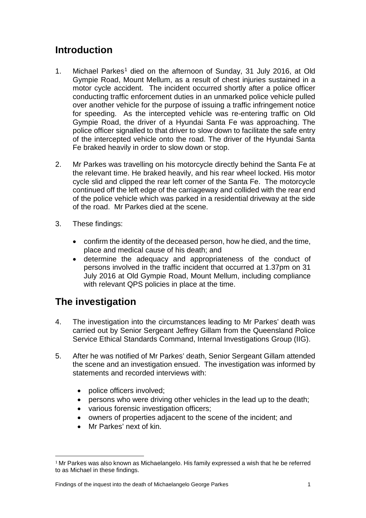# **Introduction**

- [1](#page-2-1). Michael Parkes<sup>1</sup> died on the afternoon of Sunday, 31 July 2016, at Old Gympie Road, Mount Mellum, as a result of chest injuries sustained in a motor cycle accident. The incident occurred shortly after a police officer conducting traffic enforcement duties in an unmarked police vehicle pulled over another vehicle for the purpose of issuing a traffic infringement notice for speeding. As the intercepted vehicle was re-entering traffic on Old Gympie Road, the driver of a Hyundai Santa Fe was approaching. The police officer signalled to that driver to slow down to facilitate the safe entry of the intercepted vehicle onto the road. The driver of the Hyundai Santa Fe braked heavily in order to slow down or stop.
- 2. Mr Parkes was travelling on his motorcycle directly behind the Santa Fe at the relevant time. He braked heavily, and his rear wheel locked. His motor cycle slid and clipped the rear left corner of the Santa Fe. The motorcycle continued off the left edge of the carriageway and collided with the rear end of the police vehicle which was parked in a residential driveway at the side of the road. Mr Parkes died at the scene.
- 3. These findings:
	- confirm the identity of the deceased person, how he died, and the time, place and medical cause of his death; and
	- determine the adequacy and appropriateness of the conduct of persons involved in the traffic incident that occurred at 1.37pm on 31 July 2016 at Old Gympie Road, Mount Mellum, including compliance with relevant QPS policies in place at the time.

# <span id="page-2-0"></span>**The investigation**

- 4. The investigation into the circumstances leading to Mr Parkes' death was carried out by Senior Sergeant Jeffrey Gillam from the Queensland Police Service Ethical Standards Command, Internal Investigations Group (IIG).
- 5. After he was notified of Mr Parkes' death, Senior Sergeant Gillam attended the scene and an investigation ensued. The investigation was informed by statements and recorded interviews with:
	- police officers involved;
	- persons who were driving other vehicles in the lead up to the death;
	- various forensic investigation officers;
	- owners of properties adjacent to the scene of the incident; and
	- Mr Parkes' next of kin.

<span id="page-2-1"></span> $^{\rm 1}$ Mr Parkes was also known as Michaelangelo. His family expressed a wish that he be referred to as Michael in these findings. j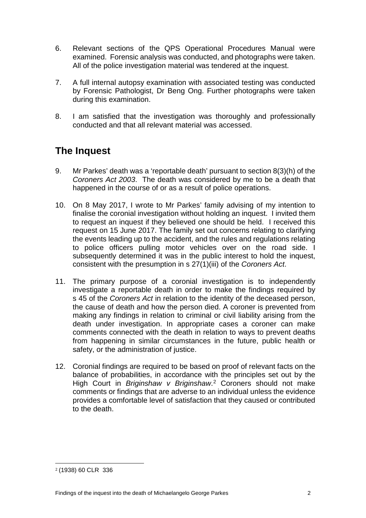- 6. Relevant sections of the QPS Operational Procedures Manual were examined. Forensic analysis was conducted, and photographs were taken. All of the police investigation material was tendered at the inquest.
- 7. A full internal autopsy examination with associated testing was conducted by Forensic Pathologist, Dr Beng Ong. Further photographs were taken during this examination.
- 8. I am satisfied that the investigation was thoroughly and professionally conducted and that all relevant material was accessed.

# <span id="page-3-0"></span>**The Inquest**

- 9. Mr Parkes' death was a 'reportable death' pursuant to section 8(3)(h) of the *Coroners Act 2003*. The death was considered by me to be a death that happened in the course of or as a result of police operations.
- 10. On 8 May 2017, I wrote to Mr Parkes' family advising of my intention to finalise the coronial investigation without holding an inquest. I invited them to request an inquest if they believed one should be held. I received this request on 15 June 2017. The family set out concerns relating to clarifying the events leading up to the accident, and the rules and regulations relating to police officers pulling motor vehicles over on the road side. I subsequently determined it was in the public interest to hold the inquest, consistent with the presumption in s 27(1)(iii) of the *Coroners Act*.
- 11. The primary purpose of a coronial investigation is to independently investigate a reportable death in order to make the findings required by s 45 of the *Coroners Act* in relation to the identity of the deceased person, the cause of death and how the person died. A coroner is prevented from making any findings in relation to criminal or civil liability arising from the death under investigation. In appropriate cases a coroner can make comments connected with the death in relation to ways to prevent deaths from happening in similar circumstances in the future, public health or safety, or the administration of justice.
- 12. Coronial findings are required to be based on proof of relevant facts on the balance of probabilities, in accordance with the principles set out by the High Court in *Briginshaw v Briginshaw*. [2](#page-3-1) Coroners should not make comments or findings that are adverse to an individual unless the evidence provides a comfortable level of satisfaction that they caused or contributed to the death.

<span id="page-3-1"></span><sup>2</sup> (1938) 60 CLR 336 i<br>I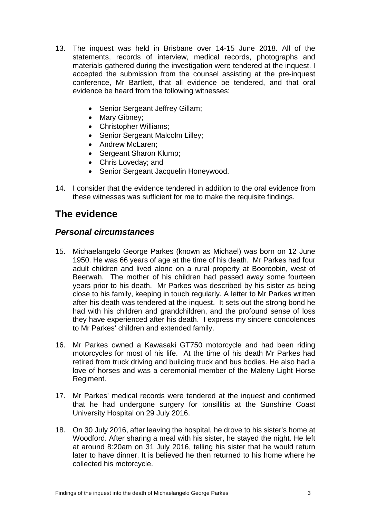- 13. The inquest was held in Brisbane over 14-15 June 2018. All of the statements, records of interview, medical records, photographs and materials gathered during the investigation were tendered at the inquest. I accepted the submission from the counsel assisting at the pre-inquest conference, Mr Bartlett, that all evidence be tendered, and that oral evidence be heard from the following witnesses:
	- Senior Sergeant Jeffrey Gillam;
	- Mary Gibney;
	- Christopher Williams;
	- Senior Sergeant Malcolm Lilley;
	- Andrew McLaren;
	- Sergeant Sharon Klump;
	- Chris Loveday; and
	- Senior Sergeant Jacquelin Honeywood.
- 14. I consider that the evidence tendered in addition to the oral evidence from these witnesses was sufficient for me to make the requisite findings.

# <span id="page-4-0"></span>**The evidence**

### <span id="page-4-1"></span>*Personal circumstances*

- 15. Michaelangelo George Parkes (known as Michael) was born on 12 June 1950. He was 66 years of age at the time of his death. Mr Parkes had four adult children and lived alone on a rural property at Booroobin, west of Beerwah. The mother of his children had passed away some fourteen years prior to his death. Mr Parkes was described by his sister as being close to his family, keeping in touch regularly. A letter to Mr Parkes written after his death was tendered at the inquest. It sets out the strong bond he had with his children and grandchildren, and the profound sense of loss they have experienced after his death. I express my sincere condolences to Mr Parkes' children and extended family.
- 16. Mr Parkes owned a Kawasaki GT750 motorcycle and had been riding motorcycles for most of his life. At the time of his death Mr Parkes had retired from truck driving and building truck and bus bodies. He also had a love of horses and was a ceremonial member of the Maleny Light Horse Regiment.
- 17. Mr Parkes' medical records were tendered at the inquest and confirmed that he had undergone surgery for tonsillitis at the Sunshine Coast University Hospital on 29 July 2016.
- 18. On 30 July 2016, after leaving the hospital, he drove to his sister's home at Woodford. After sharing a meal with his sister, he stayed the night. He left at around 8:20am on 31 July 2016, telling his sister that he would return later to have dinner. It is believed he then returned to his home where he collected his motorcycle.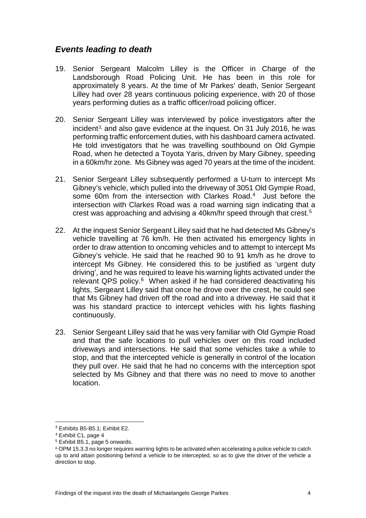## <span id="page-5-0"></span>*Events leading to death*

- 19. Senior Sergeant Malcolm Lilley is the Officer in Charge of the Landsborough Road Policing Unit. He has been in this role for approximately 8 years. At the time of Mr Parkes' death, Senior Sergeant Lilley had over 28 years continuous policing experience, with 20 of those years performing duties as a traffic officer/road policing officer.
- 20. Senior [S](#page-5-1)ergeant Lilley was interviewed by police investigators after the incident<sup>3,</sup> and also gave evidence at the inquest. On 31 July 2016, he was performing traffic enforcement duties, with his dashboard camera activated. He told investigators that he was travelling southbound on Old Gympie Road, when he detected a Toyota Yaris, driven by Mary Gibney, speeding in a 60km/hr zone. Ms Gibney was aged 70 years at the time of the incident.
- 21. Senior Sergeant Lilley subsequently performed a U-turn to intercept Ms Gibney's vehicle, which pulled into the driveway of 3051 Old Gympie Road, some 60m from the intersection with Clarkes Road.<sup>[4](#page-5-2)</sup> Just before the intersection with Clarkes Road was a road warning sign indicating that a crest was approaching and advising a 40km/hr speed through that crest.[5](#page-5-3)
- 22. At the inquest Senior Sergeant Lilley said that he had detected Ms Gibney's vehicle travelling at 76 km/h. He then activated his emergency lights in order to draw attention to oncoming vehicles and to attempt to intercept Ms Gibney's vehicle. He said that he reached 90 to 91 km/h as he drove to intercept Ms Gibney. He considered this to be justified as 'urgent duty driving', and he was required to leave his warning lights activated under the relevant QPS policy.<sup>[6](#page-5-4)</sup> When asked if he had considered deactivating his lights, Sergeant Lilley said that once he drove over the crest, he could see that Ms Gibney had driven off the road and into a driveway. He said that it was his standard practice to intercept vehicles with his lights flashing continuously.
- 23. Senior Sergeant Lilley said that he was very familiar with Old Gympie Road and that the safe locations to pull vehicles over on this road included driveways and intersections. He said that some vehicles take a while to stop, and that the intercepted vehicle is generally in control of the location they pull over. He said that he had no concerns with the interception spot selected by Ms Gibney and that there was no need to move to another location.

<sup>3</sup> Exhibits B5-B5.1; Exhibit E2.

<span id="page-5-2"></span><span id="page-5-1"></span><sup>4</sup> Exhibit C1, page 4

<span id="page-5-3"></span><sup>5</sup> Exhibit B5.1, page 5 onwards.

<span id="page-5-4"></span><sup>6</sup> OPM 15.3.3 no longer requires warning lights to be activated when accelerating a police vehicle to catch up to and attain positioning behind a vehicle to be intercepted, so as to give the driver of the vehicle a direction to stop.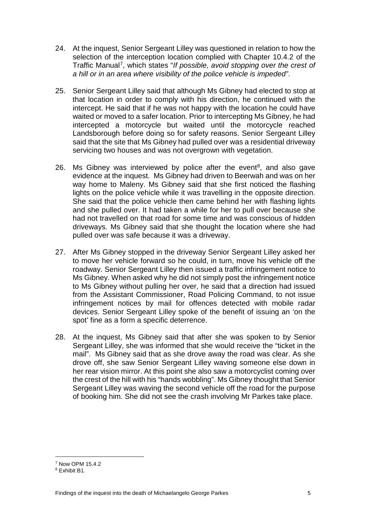- 24. At the inquest, Senior Sergeant Lilley was questioned in relation to how the selection of the interception location complied with Chapter 10.4.2 of the Traffic Manual[7,](#page-6-0) which states "*If possible, avoid stopping over the crest of a hill or in an area where visibility of the police vehicle is impeded"*.
- 25. Senior Sergeant Lilley said that although Ms Gibney had elected to stop at that location in order to comply with his direction, he continued with the intercept. He said that if he was not happy with the location he could have waited or moved to a safer location. Prior to intercepting Ms Gibney, he had intercepted a motorcycle but waited until the motorcycle reached Landsborough before doing so for safety reasons. Senior Sergeant Lilley said that the site that Ms Gibney had pulled over was a residential driveway servicing two houses and was not overgrown with vegetation.
- 26. Ms Gibney was interviewed by police after the event<sup>8</sup>, and also gave evidence at the inquest. Ms Gibney had driven to Beerwah and was on her way home to Maleny. Ms Gibney said that she first noticed the flashing lights on the police vehicle while it was travelling in the opposite direction. She said that the police vehicle then came behind her with flashing lights and she pulled over. It had taken a while for her to pull over because she had not travelled on that road for some time and was conscious of hidden driveways. Ms Gibney said that she thought the location where she had pulled over was safe because it was a driveway.
- 27. After Ms Gibney stopped in the driveway Senior Sergeant Lilley asked her to move her vehicle forward so he could, in turn, move his vehicle off the roadway. Senior Sergeant Lilley then issued a traffic infringement notice to Ms Gibney. When asked why he did not simply post the infringement notice to Ms Gibney without pulling her over, he said that a direction had issued from the Assistant Commissioner, Road Policing Command, to not issue infringement notices by mail for offences detected with mobile radar devices. Senior Sergeant Lilley spoke of the benefit of issuing an 'on the spot' fine as a form a specific deterrence.
- 28. At the inquest, Ms Gibney said that after she was spoken to by Senior Sergeant Lilley, she was informed that she would receive the "ticket in the mail". Ms Gibney said that as she drove away the road was clear. As she drove off, she saw Senior Sergeant Lilley waving someone else down in her rear vision mirror. At this point she also saw a motorcyclist coming over the crest of the hill with his "hands wobbling". Ms Gibney thought that Senior Sergeant Lilley was waving the second vehicle off the road for the purpose of booking him. She did not see the crash involving Mr Parkes take place.

<sup>7</sup> Now OPM 15.4.2 I

<span id="page-6-1"></span><span id="page-6-0"></span><sup>8</sup> Exhibit B1.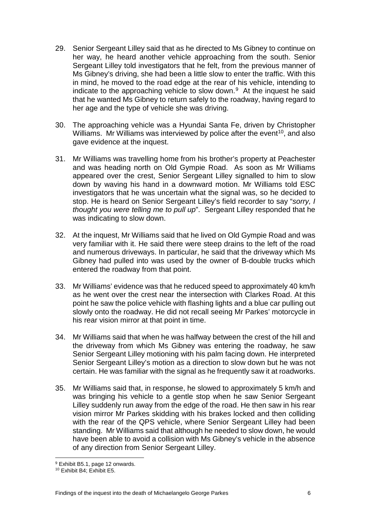- 29. Senior Sergeant Lilley said that as he directed to Ms Gibney to continue on her way, he heard another vehicle approaching from the south. Senior Sergeant Lilley told investigators that he felt, from the previous manner of Ms Gibney's driving, she had been a little slow to enter the traffic. With this in mind, he moved to the road edge at the rear of his vehicle, intending to indicate to the approaching vehicle to slow down. $9$  At the inquest he said that he wanted Ms Gibney to return safely to the roadway, having regard to her age and the type of vehicle she was driving.
- 30. The approaching vehicle was a Hyundai Santa Fe, driven by Christopher Williams. Mr Williams was interviewed by police after the event<sup>[10](#page-7-1)</sup>, and also gave evidence at the inquest.
- 31. Mr Williams was travelling home from his brother's property at Peachester and was heading north on Old Gympie Road. As soon as Mr Williams appeared over the crest, Senior Sergeant Lilley signalled to him to slow down by waving his hand in a downward motion. Mr Williams told ESC investigators that he was uncertain what the signal was, so he decided to stop. He is heard on Senior Sergeant Lilley's field recorder to say "*sorry, I thought you were telling me to pull up*". Sergeant Lilley responded that he was indicating to slow down.
- 32. At the inquest, Mr Williams said that he lived on Old Gympie Road and was very familiar with it. He said there were steep drains to the left of the road and numerous driveways. In particular, he said that the driveway which Ms Gibney had pulled into was used by the owner of B-double trucks which entered the roadway from that point.
- 33. Mr Williams' evidence was that he reduced speed to approximately 40 km/h as he went over the crest near the intersection with Clarkes Road. At this point he saw the police vehicle with flashing lights and a blue car pulling out slowly onto the roadway. He did not recall seeing Mr Parkes' motorcycle in his rear vision mirror at that point in time.
- 34. Mr Williams said that when he was halfway between the crest of the hill and the driveway from which Ms Gibney was entering the roadway, he saw Senior Sergeant Lilley motioning with his palm facing down. He interpreted Senior Sergeant Lilley's motion as a direction to slow down but he was not certain. He was familiar with the signal as he frequently saw it at roadworks.
- 35. Mr Williams said that, in response, he slowed to approximately 5 km/h and was bringing his vehicle to a gentle stop when he saw Senior Sergeant Lilley suddenly run away from the edge of the road. He then saw in his rear vision mirror Mr Parkes skidding with his brakes locked and then colliding with the rear of the QPS vehicle, where Senior Sergeant Lilley had been standing. Mr Williams said that although he needed to slow down, he would have been able to avoid a collision with Ms Gibney's vehicle in the absence of any direction from Senior Sergeant Lilley.

were the matrices of the set of the set of the set of the set of the set of the set of the set of the set of the set of the set of the set of the set of the set of the set of the set of the set of the set of the set of the

<span id="page-7-1"></span><span id="page-7-0"></span><sup>10</sup> Exhibit B4; Exhibit E5.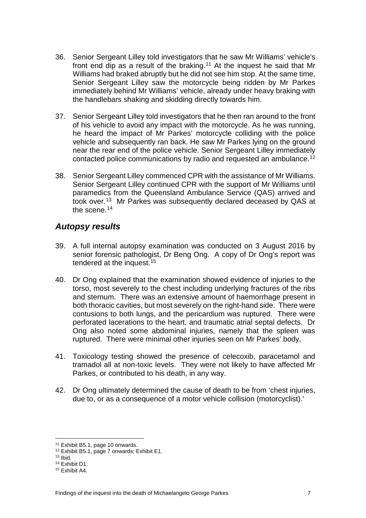- 36. Senior Sergeant Lilley told investigators that he saw Mr Williams' vehicle's front end dip as a result of the braking.[11](#page-8-1) At the inquest he said that Mr Williams had braked abruptly but he did not see him stop. At the same time, Senior Sergeant Lilley saw the motorcycle being ridden by Mr Parkes immediately behind Mr Williams' vehicle, already under heavy braking with the handlebars shaking and skidding directly towards him.
- 37. Senior Sergeant Lilley told investigators that he then ran around to the front of his vehicle to avoid any impact with the motorcycle. As he was running, he heard the impact of Mr Parkes' motorcycle colliding with the police vehicle and subsequently ran back. He saw Mr Parkes lying on the ground near the rear end of the police vehicle. Senior Sergeant Lilley immediately contacted police communications by radio and requested an ambulance.[12](#page-8-2)
- 38. Senior Sergeant Lilley commenced CPR with the assistance of Mr Williams. Senior Sergeant Lilley continued CPR with the support of Mr Williams until paramedics from the Queensland Ambulance Service (QAS) arrived and took over.[13](#page-8-3) Mr Parkes was subsequently declared deceased by QAS at the scene.<sup>[14](#page-8-4)</sup>

## <span id="page-8-0"></span>*Autopsy results*

- 39. A full internal autopsy examination was conducted on 3 August 2016 by senior forensic pathologist, Dr Beng Ong. A copy of Dr Ong's report was tendered at the inquest.[15](#page-8-5)
- 40. Dr Ong explained that the examination showed evidence of injuries to the torso, most severely to the chest including underlying fractures of the ribs and sternum. There was an extensive amount of haemorrhage present in both thoracic cavities, but most severely on the right-hand side. There were contusions to both lungs, and the pericardium was ruptured. There were perforated lacerations to the heart, and traumatic atrial septal defects. Dr Ong also noted some abdominal injuries, namely that the spleen was ruptured. There were minimal other injuries seen on Mr Parkes' body.
- 41. Toxicology testing showed the presence of celecoxib, paracetamol and tramadol all at non-toxic levels. They were not likely to have affected Mr Parkes, or contributed to his death, in any way.
- 42. Dr Ong ultimately determined the cause of death to be from 'chest injuries, due to, or as a consequence of a motor vehicle collision (motorcyclist).'

<sup>11</sup> Exhibit B5.1, page 10 onwards.

<span id="page-8-3"></span><span id="page-8-2"></span><span id="page-8-1"></span><sup>&</sup>lt;sup>12</sup> Exhibit B5.1, page 7 onwards; Exhibit E1.<br><sup>13</sup> Ibid.

<span id="page-8-4"></span><sup>&</sup>lt;sup>14</sup> Exhibit D1.

<span id="page-8-5"></span><sup>15</sup> Exhibit A4.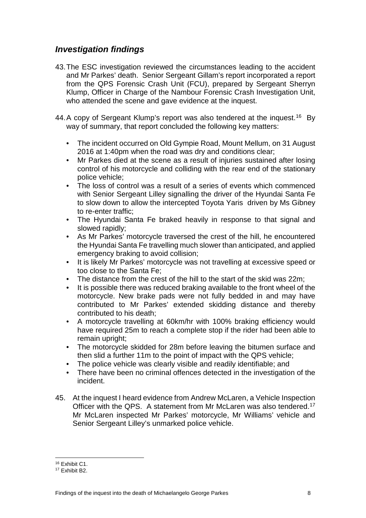## *Investigation findings*

- 43.The ESC investigation reviewed the circumstances leading to the accident and Mr Parkes' death. Senior Sergeant Gillam's report incorporated a report from the QPS Forensic Crash Unit (FCU), prepared by Sergeant Sherryn Klump, Officer in Charge of the Nambour Forensic Crash Investigation Unit, who attended the scene and gave evidence at the inquest.
- 44. A copy of Sergeant Klump's report was also tendered at the inquest.<sup>[16](#page-9-0)</sup> By way of summary, that report concluded the following key matters:
	- The incident occurred on Old Gympie Road, Mount Mellum, on 31 August 2016 at 1:40pm when the road was dry and conditions clear;
	- Mr Parkes died at the scene as a result of injuries sustained after losing control of his motorcycle and colliding with the rear end of the stationary police vehicle;
	- The loss of control was a result of a series of events which commenced with Senior Sergeant Lilley signalling the driver of the Hyundai Santa Fe to slow down to allow the intercepted Toyota Yaris driven by Ms Gibney to re-enter traffic;
	- The Hyundai Santa Fe braked heavily in response to that signal and slowed rapidly;
	- As Mr Parkes' motorcycle traversed the crest of the hill, he encountered the Hyundai Santa Fe travelling much slower than anticipated, and applied emergency braking to avoid collision;
	- It is likely Mr Parkes' motorcycle was not travelling at excessive speed or too close to the Santa Fe;
	- The distance from the crest of the hill to the start of the skid was 22m;
	- It is possible there was reduced braking available to the front wheel of the motorcycle. New brake pads were not fully bedded in and may have contributed to Mr Parkes' extended skidding distance and thereby contributed to his death;
	- A motorcycle travelling at 60km/hr with 100% braking efficiency would have required 25m to reach a complete stop if the rider had been able to remain upright;
	- The motorcycle skidded for 28m before leaving the bitumen surface and then slid a further 11m to the point of impact with the QPS vehicle;
	- The police vehicle was clearly visible and readily identifiable; and
	- There have been no criminal offences detected in the investigation of the incident.
- 45. At the inquest I heard evidence from Andrew McLaren, a Vehicle Inspection Officer with the QPS. A statement from Mr McLaren was also tendered.[17](#page-9-1)  Mr McLaren inspected Mr Parkes' motorcycle, Mr Williams' vehicle and Senior Sergeant Lilley's unmarked police vehicle.

<sup>16</sup> Exhibit C1.

<span id="page-9-1"></span><span id="page-9-0"></span><sup>17</sup> Exhibit B2.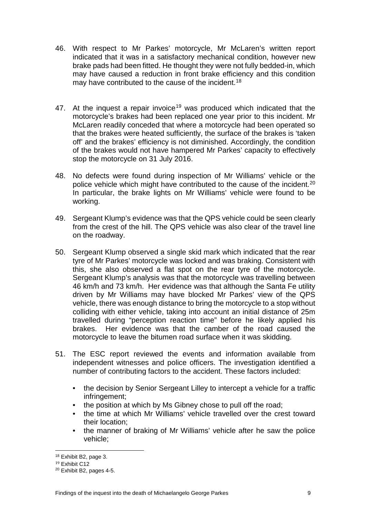- 46. With respect to Mr Parkes' motorcycle, Mr McLaren's written report indicated that it was in a satisfactory mechanical condition, however new brake pads had been fitted. He thought they were not fully bedded-in, which may have caused a reduction in front brake efficiency and this condition may have contributed to the cause of the incident.<sup>[18](#page-10-0)</sup>
- 47. At the inquest a repair invoice<sup>[19](#page-10-1)</sup> was produced which indicated that the motorcycle's brakes had been replaced one year prior to this incident. Mr McLaren readily conceded that where a motorcycle had been operated so that the brakes were heated sufficiently, the surface of the brakes is 'taken off' and the brakes' efficiency is not diminished. Accordingly, the condition of the brakes would not have hampered Mr Parkes' capacity to effectively stop the motorcycle on 31 July 2016.
- 48. No defects were found during inspection of Mr Williams' vehicle or the police vehicle which might have contributed to the cause of the incident.[20](#page-10-2) In particular, the brake lights on Mr Williams' vehicle were found to be working.
- 49. Sergeant Klump's evidence was that the QPS vehicle could be seen clearly from the crest of the hill. The QPS vehicle was also clear of the travel line on the roadway.
- 50. Sergeant Klump observed a single skid mark which indicated that the rear tyre of Mr Parkes' motorcycle was locked and was braking. Consistent with this, she also observed a flat spot on the rear tyre of the motorcycle. Sergeant Klump's analysis was that the motorcycle was travelling between 46 km/h and 73 km/h. Her evidence was that although the Santa Fe utility driven by Mr Williams may have blocked Mr Parkes' view of the QPS vehicle, there was enough distance to bring the motorcycle to a stop without colliding with either vehicle, taking into account an initial distance of 25m travelled during "perception reaction time" before he likely applied his brakes. Her evidence was that the camber of the road caused the motorcycle to leave the bitumen road surface when it was skidding.
- 51. The ESC report reviewed the events and information available from independent witnesses and police officers. The investigation identified a number of contributing factors to the accident. These factors included:
	- the decision by Senior Sergeant Lilley to intercept a vehicle for a traffic infringement;
	- the position at which by Ms Gibney chose to pull off the road;
	- the time at which Mr Williams' vehicle travelled over the crest toward their location;
	- the manner of braking of Mr Williams' vehicle after he saw the police vehicle;

<sup>18</sup> Exhibit B2, page 3.

<span id="page-10-1"></span><span id="page-10-0"></span><sup>19</sup> Exhibit C12

<span id="page-10-2"></span><sup>20</sup> Exhibit B2, pages 4-5.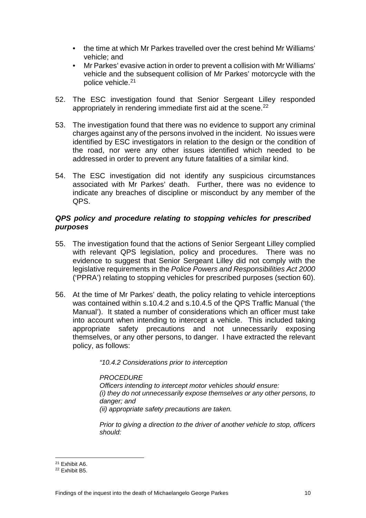- the time at which Mr Parkes travelled over the crest behind Mr Williams' vehicle; and
- Mr Parkes' evasive action in order to prevent a collision with Mr Williams' vehicle and the subsequent collision of Mr Parkes' motorcycle with the police vehicle.<sup>[21](#page-11-0)</sup>
- 52. The ESC investigation found that Senior Sergeant Lilley responded appropriately in rendering immediate first aid at the scene.<sup>[22](#page-11-1)</sup>
- 53. The investigation found that there was no evidence to support any criminal charges against any of the persons involved in the incident. No issues were identified by ESC investigators in relation to the design or the condition of the road, nor were any other issues identified which needed to be addressed in order to prevent any future fatalities of a similar kind.
- 54. The ESC investigation did not identify any suspicious circumstances associated with Mr Parkes' death. Further, there was no evidence to indicate any breaches of discipline or misconduct by any member of the QPS.

#### *QPS policy and procedure relating to stopping vehicles for prescribed purposes*

- 55. The investigation found that the actions of Senior Sergeant Lilley complied with relevant QPS legislation, policy and procedures. There was no evidence to suggest that Senior Sergeant Lilley did not comply with the legislative requirements in the *Police Powers and Responsibilities Act 2000* ('PPRA') relating to stopping vehicles for prescribed purposes (section 60).
- 56. At the time of Mr Parkes' death, the policy relating to vehicle interceptions was contained within s.10.4.2 and s.10.4.5 of the QPS Traffic Manual ('the Manual'). It stated a number of considerations which an officer must take into account when intending to intercept a vehicle. This included taking appropriate safety precautions and not unnecessarily exposing themselves, or any other persons, to danger. I have extracted the relevant policy, as follows:

*"10.4.2 Considerations prior to interception*

#### *PROCEDURE*

*Officers intending to intercept motor vehicles should ensure: (i) they do not unnecessarily expose themselves or any other persons, to danger; and (ii) appropriate safety precautions are taken.*

*Prior to giving a direction to the driver of another vehicle to stop, officers should:*

 $\overline{a^{21}}$  Exhibit A6.

<span id="page-11-1"></span><span id="page-11-0"></span><sup>22</sup> Exhibit B5.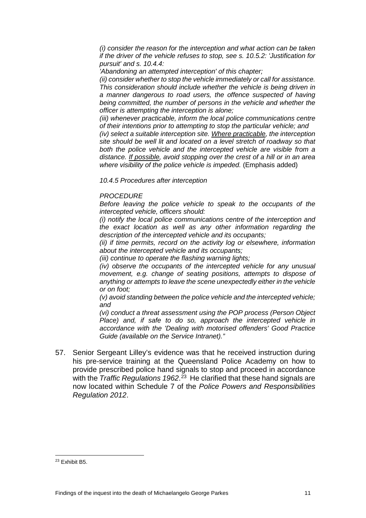*(i) consider the reason for the interception and what action can be taken if the driver of the vehicle refuses to stop, see s. 10.5.2: 'Justification for pursuit' and s. 10.4.4:*

*'Abandoning an attempted interception' of this chapter;*

*(ii) consider whether to stop the vehicle immediately or call for assistance. This consideration should include whether the vehicle is being driven in a manner dangerous to road users, the offence suspected of having being committed, the number of persons in the vehicle and whether the officer is attempting the interception is alone;*

*(iii) whenever practicable, inform the local police communications centre of their intentions prior to attempting to stop the particular vehicle; and (iv) select a suitable interception site. Where practicable, the interception* 

*site should be well lit and located on a level stretch of roadway so that both the police vehicle and the intercepted vehicle are visible from a distance. If possible, avoid stopping over the crest of a hill or in an area where visibility of the police vehicle is impeded.* (Emphasis added)

*10.4.5 Procedures after interception*

#### *PROCEDURE*

*Before leaving the police vehicle to speak to the occupants of the intercepted vehicle, officers should:*

*(i) notify the local police communications centre of the interception and the exact location as well as any other information regarding the description of the intercepted vehicle and its occupants;*

*(ii) if time permits, record on the activity log or elsewhere, information about the intercepted vehicle and its occupants;*

*(iii) continue to operate the flashing warning lights;*

*(iv) observe the occupants of the intercepted vehicle for any unusual movement, e.g. change of seating positions, attempts to dispose of anything or attempts to leave the scene unexpectedly either in the vehicle or on foot;*

*(v) avoid standing between the police vehicle and the intercepted vehicle; and*

*(vi) conduct a threat assessment using the POP process (Person Object Place)* and, if safe to do so, approach the intercepted vehicle in *accordance with the 'Dealing with motorised offenders' Good Practice Guide (available on the Service Intranet)."*

57. Senior Sergeant Lilley's evidence was that he received instruction during his pre-service training at the Queensland Police Academy on how to provide prescribed police hand signals to stop and proceed in accordance with the *Traffic Regulations 1962*. [23](#page-12-0) He clarified that these hand signals are now located within Schedule 7 of the *Police Powers and Responsibilities Regulation 2012*.

<span id="page-12-0"></span><sup>23</sup> Exhibit B5.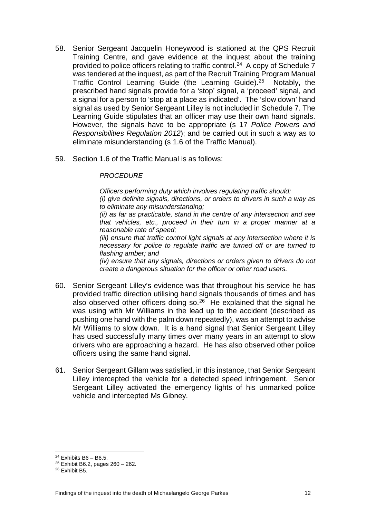- 58. Senior Sergeant Jacquelin Honeywood is stationed at the QPS Recruit Training Centre, and gave evidence at the inquest about the training provided to police officers relating to traffic control.<sup>24</sup> A copy of Schedule  $\overline{7}$ was tendered at the inquest, as part of the Recruit Training Program Manual Traffic Control Learning Guide (the Learning Guide). [25](#page-13-1) Notably, the prescribed hand signals provide for a 'stop' signal, a 'proceed' signal, and a signal for a person to 'stop at a place as indicated'. The 'slow down' hand signal as used by Senior Sergeant Lilley is not included in Schedule 7. The Learning Guide stipulates that an officer may use their own hand signals. However, the signals have to be appropriate (s 17 *Police Powers and Responsibilities Regulation 2012*); and be carried out in such a way as to eliminate misunderstanding (s 1.6 of the Traffic Manual).
- 59. Section 1.6 of the Traffic Manual is as follows:

#### *PROCEDURE*

*Officers performing duty which involves regulating traffic should: (i) give definite signals, directions, or orders to drivers in such a way as to eliminate any misunderstanding;*

*(ii) as far as practicable, stand in the centre of any intersection and see that vehicles, etc., proceed in their turn in a proper manner at a reasonable rate of speed;*

*(iii) ensure that traffic control light signals at any intersection where it is necessary for police to regulate traffic are turned off or are turned to flashing amber; and*

*(iv) ensure that any signals, directions or orders given to drivers do not create a dangerous situation for the officer or other road users.*

- 60. Senior Sergeant Lilley's evidence was that throughout his service he has provided traffic direction utilising hand signals thousands of times and has also observed other officers doing so. $26$  He explained that the signal he was using with Mr Williams in the lead up to the accident (described as pushing one hand with the palm down repeatedly), was an attempt to advise Mr Williams to slow down. It is a hand signal that Senior Sergeant Lilley has used successfully many times over many years in an attempt to slow drivers who are approaching a hazard. He has also observed other police officers using the same hand signal.
- 61. Senior Sergeant Gillam was satisfied, in this instance, that Senior Sergeant Lilley intercepted the vehicle for a detected speed infringement. Senior Sergeant Lilley activated the emergency lights of his unmarked police vehicle and intercepted Ms Gibney.

 $\frac{24}{24}$  Exhibits B6 – B6.5.

<span id="page-13-1"></span><span id="page-13-0"></span> $25$  Exhibit B6.2, pages  $260 - 262$ .

<span id="page-13-2"></span><sup>26</sup> Exhibit B5.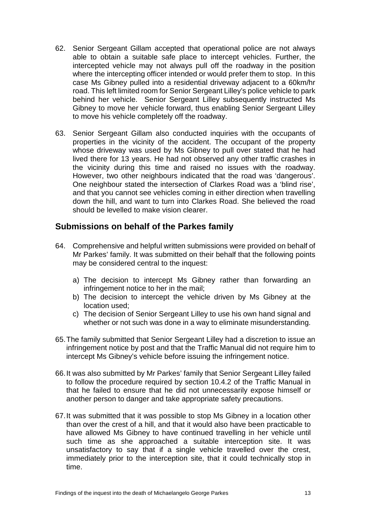- 62. Senior Sergeant Gillam accepted that operational police are not always able to obtain a suitable safe place to intercept vehicles. Further, the intercepted vehicle may not always pull off the roadway in the position where the intercepting officer intended or would prefer them to stop. In this case Ms Gibney pulled into a residential driveway adjacent to a 60km/hr road. This left limited room for Senior Sergeant Lilley's police vehicle to park behind her vehicle. Senior Sergeant Lilley subsequently instructed Ms Gibney to move her vehicle forward, thus enabling Senior Sergeant Lilley to move his vehicle completely off the roadway.
- 63. Senior Sergeant Gillam also conducted inquiries with the occupants of properties in the vicinity of the accident. The occupant of the property whose driveway was used by Ms Gibney to pull over stated that he had lived there for 13 years. He had not observed any other traffic crashes in the vicinity during this time and raised no issues with the roadway. However, two other neighbours indicated that the road was 'dangerous'. One neighbour stated the intersection of Clarkes Road was a 'blind rise', and that you cannot see vehicles coming in either direction when travelling down the hill, and want to turn into Clarkes Road. She believed the road should be levelled to make vision clearer.

## <span id="page-14-0"></span>**Submissions on behalf of the Parkes family**

- 64. Comprehensive and helpful written submissions were provided on behalf of Mr Parkes' family. It was submitted on their behalf that the following points may be considered central to the inquest:
	- a) The decision to intercept Ms Gibney rather than forwarding an infringement notice to her in the mail;
	- b) The decision to intercept the vehicle driven by Ms Gibney at the location used;
	- c) The decision of Senior Sergeant Lilley to use his own hand signal and whether or not such was done in a way to eliminate misunderstanding.
- 65.The family submitted that Senior Sergeant Lilley had a discretion to issue an infringement notice by post and that the Traffic Manual did not require him to intercept Ms Gibney's vehicle before issuing the infringement notice.
- 66.It was also submitted by Mr Parkes' family that Senior Sergeant Lilley failed to follow the procedure required by section 10.4.2 of the Traffic Manual in that he failed to ensure that he did not unnecessarily expose himself or another person to danger and take appropriate safety precautions.
- 67.It was submitted that it was possible to stop Ms Gibney in a location other than over the crest of a hill, and that it would also have been practicable to have allowed Ms Gibney to have continued travelling in her vehicle until such time as she approached a suitable interception site. It was unsatisfactory to say that if a single vehicle travelled over the crest, immediately prior to the interception site, that it could technically stop in time.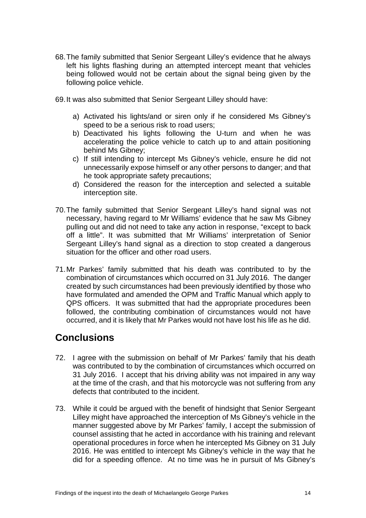68.The family submitted that Senior Sergeant Lilley's evidence that he always left his lights flashing during an attempted intercept meant that vehicles being followed would not be certain about the signal being given by the following police vehicle.

69.It was also submitted that Senior Sergeant Lilley should have:

- a) Activated his lights/and or siren only if he considered Ms Gibney's speed to be a serious risk to road users;
- b) Deactivated his lights following the U-turn and when he was accelerating the police vehicle to catch up to and attain positioning behind Ms Gibney;
- c) If still intending to intercept Ms Gibney's vehicle, ensure he did not unnecessarily expose himself or any other persons to danger; and that he took appropriate safety precautions;
- d) Considered the reason for the interception and selected a suitable interception site.
- 70.The family submitted that Senior Sergeant Lilley's hand signal was not necessary, having regard to Mr Williams' evidence that he saw Ms Gibney pulling out and did not need to take any action in response, "except to back off a little". It was submitted that Mr Williams' interpretation of Senior Sergeant Lilley's hand signal as a direction to stop created a dangerous situation for the officer and other road users.
- 71.Mr Parkes' family submitted that his death was contributed to by the combination of circumstances which occurred on 31 July 2016. The danger created by such circumstances had been previously identified by those who have formulated and amended the OPM and Traffic Manual which apply to QPS officers. It was submitted that had the appropriate procedures been followed, the contributing combination of circumstances would not have occurred, and it is likely that Mr Parkes would not have lost his life as he did.

# <span id="page-15-0"></span>**Conclusions**

- 72. I agree with the submission on behalf of Mr Parkes' family that his death was contributed to by the combination of circumstances which occurred on 31 July 2016. I accept that his driving ability was not impaired in any way at the time of the crash, and that his motorcycle was not suffering from any defects that contributed to the incident.
- 73. While it could be argued with the benefit of hindsight that Senior Sergeant Lilley might have approached the interception of Ms Gibney's vehicle in the manner suggested above by Mr Parkes' family, I accept the submission of counsel assisting that he acted in accordance with his training and relevant operational procedures in force when he intercepted Ms Gibney on 31 July 2016. He was entitled to intercept Ms Gibney's vehicle in the way that he did for a speeding offence. At no time was he in pursuit of Ms Gibney's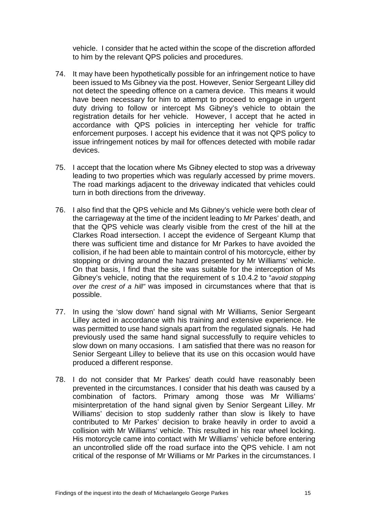vehicle. I consider that he acted within the scope of the discretion afforded to him by the relevant QPS policies and procedures.

- 74. It may have been hypothetically possible for an infringement notice to have been issued to Ms Gibney via the post. However, Senior Sergeant Lilley did not detect the speeding offence on a camera device. This means it would have been necessary for him to attempt to proceed to engage in urgent duty driving to follow or intercept Ms Gibney's vehicle to obtain the registration details for her vehicle. However, I accept that he acted in accordance with QPS policies in intercepting her vehicle for traffic enforcement purposes. I accept his evidence that it was not QPS policy to issue infringement notices by mail for offences detected with mobile radar devices.
- 75. I accept that the location where Ms Gibney elected to stop was a driveway leading to two properties which was regularly accessed by prime movers. The road markings adjacent to the driveway indicated that vehicles could turn in both directions from the driveway.
- 76. I also find that the QPS vehicle and Ms Gibney's vehicle were both clear of the carriageway at the time of the incident leading to Mr Parkes' death, and that the QPS vehicle was clearly visible from the crest of the hill at the Clarkes Road intersection. I accept the evidence of Sergeant Klump that there was sufficient time and distance for Mr Parkes to have avoided the collision, if he had been able to maintain control of his motorcycle, either by stopping or driving around the hazard presented by Mr Williams' vehicle. On that basis, I find that the site was suitable for the interception of Ms Gibney's vehicle, noting that the requirement of s 10.4.2 to "*avoid stopping over the crest of a hill"* was imposed in circumstances where that that is possible.
- 77. In using the 'slow down' hand signal with Mr Williams, Senior Sergeant Lilley acted in accordance with his training and extensive experience. He was permitted to use hand signals apart from the regulated signals. He had previously used the same hand signal successfully to require vehicles to slow down on many occasions. I am satisfied that there was no reason for Senior Sergeant Lilley to believe that its use on this occasion would have produced a different response.
- 78. I do not consider that Mr Parkes' death could have reasonably been prevented in the circumstances. I consider that his death was caused by a combination of factors. Primary among those was Mr Williams' misinterpretation of the hand signal given by Senior Sergeant Lilley. Mr Williams' decision to stop suddenly rather than slow is likely to have contributed to Mr Parkes' decision to brake heavily in order to avoid a collision with Mr Williams' vehicle. This resulted in his rear wheel locking. His motorcycle came into contact with Mr Williams' vehicle before entering an uncontrolled slide off the road surface into the QPS vehicle. I am not critical of the response of Mr Williams or Mr Parkes in the circumstances. I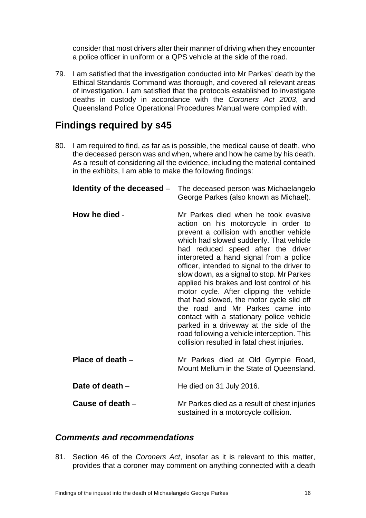consider that most drivers alter their manner of driving when they encounter a police officer in uniform or a QPS vehicle at the side of the road.

79. I am satisfied that the investigation conducted into Mr Parkes' death by the Ethical Standards Command was thorough, and covered all relevant areas of investigation. I am satisfied that the protocols established to investigate deaths in custody in accordance with the *Coroners Act 2003*, and Queensland Police Operational Procedures Manual were complied with.

# <span id="page-17-0"></span>**Findings required by s45**

80. I am required to find, as far as is possible, the medical cause of death, who the deceased person was and when, where and how he came by his death. As a result of considering all the evidence, including the material contained in the exhibits, I am able to make the following findings:

<span id="page-17-2"></span><span id="page-17-1"></span>

| Identity of the deceased - | The deceased person was Michaelangelo<br>George Parkes (also known as Michael).                                                                                                                                                                                                                                                                                                                                                                                                                                                                                                                                                                                                                                 |
|----------------------------|-----------------------------------------------------------------------------------------------------------------------------------------------------------------------------------------------------------------------------------------------------------------------------------------------------------------------------------------------------------------------------------------------------------------------------------------------------------------------------------------------------------------------------------------------------------------------------------------------------------------------------------------------------------------------------------------------------------------|
| How he died -              | Mr Parkes died when he took evasive<br>action on his motorcycle in order to<br>prevent a collision with another vehicle<br>which had slowed suddenly. That vehicle<br>had reduced speed after the driver<br>interpreted a hand signal from a police<br>officer, intended to signal to the driver to<br>slow down, as a signal to stop. Mr Parkes<br>applied his brakes and lost control of his<br>motor cycle. After clipping the vehicle<br>that had slowed, the motor cycle slid off<br>the road and Mr Parkes came into<br>contact with a stationary police vehicle<br>parked in a driveway at the side of the<br>road following a vehicle interception. This<br>collision resulted in fatal chest injuries. |
| Place of death -           | Mr Parkes died at Old Gympie Road,<br>Mount Mellum in the State of Queensland.                                                                                                                                                                                                                                                                                                                                                                                                                                                                                                                                                                                                                                  |
| Date of death -            | He died on 31 July 2016.                                                                                                                                                                                                                                                                                                                                                                                                                                                                                                                                                                                                                                                                                        |
| Cause of death -           | Mr Parkes died as a result of chest injuries<br>sustained in a motorcycle collision.                                                                                                                                                                                                                                                                                                                                                                                                                                                                                                                                                                                                                            |

### <span id="page-17-6"></span><span id="page-17-5"></span><span id="page-17-4"></span><span id="page-17-3"></span>*Comments and recommendations*

81. Section 46 of the *Coroners Act*, insofar as it is relevant to this matter, provides that a coroner may comment on anything connected with a death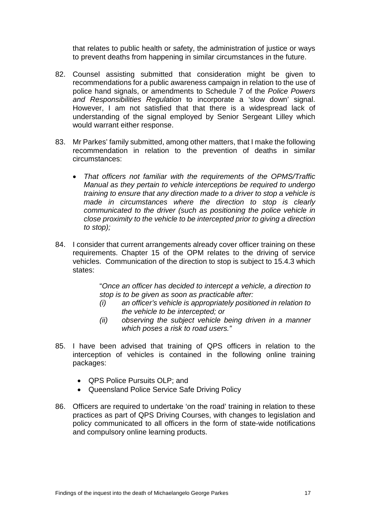that relates to public health or safety, the administration of justice or ways to prevent deaths from happening in similar circumstances in the future.

- 82. Counsel assisting submitted that consideration might be given to recommendations for a public awareness campaign in relation to the use of police hand signals, or amendments to Schedule 7 of the *Police Powers and Responsibilities Regulation* to incorporate a 'slow down' signal. However, I am not satisfied that that there is a widespread lack of understanding of the signal employed by Senior Sergeant Lilley which would warrant either response.
- 83. Mr Parkes' family submitted, among other matters, that I make the following recommendation in relation to the prevention of deaths in similar circumstances:
	- *That officers not familiar with the requirements of the OPMS/Traffic Manual as they pertain to vehicle interceptions be required to undergo training to ensure that any direction made to a driver to stop a vehicle is made in circumstances where the direction to stop is clearly communicated to the driver (such as positioning the police vehicle in close proximity to the vehicle to be intercepted prior to giving a direction to stop);*
- 84. I consider that current arrangements already cover officer training on these requirements. Chapter 15 of the OPM relates to the driving of service vehicles. Communication of the direction to stop is subject to 15.4.3 which states:

"*Once an officer has decided to intercept a vehicle, a direction to stop is to be given as soon as practicable after:* 

- *(i) an officer's vehicle is appropriately positioned in relation to the vehicle to be intercepted; or*
- *(ii) observing the subject vehicle being driven in a manner which poses a risk to road users."*
- 85. I have been advised that training of QPS officers in relation to the interception of vehicles is contained in the following online training packages:
	- QPS Police Pursuits OLP; and
	- Queensland Police Service Safe Driving Policy
- 86. Officers are required to undertake 'on the road' training in relation to these practices as part of QPS Driving Courses, with changes to legislation and policy communicated to all officers in the form of state-wide notifications and compulsory online learning products.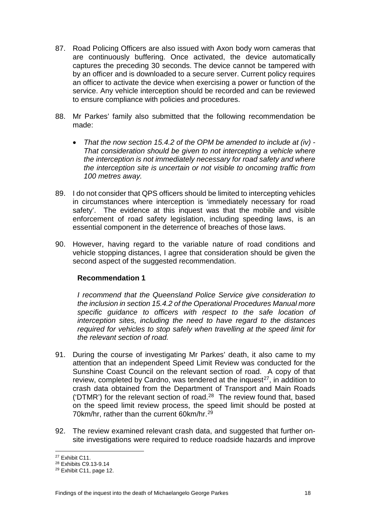- 87. Road Policing Officers are also issued with Axon body worn cameras that are continuously buffering. Once activated, the device automatically captures the preceding 30 seconds. The device cannot be tampered with by an officer and is downloaded to a secure server. Current policy requires an officer to activate the device when exercising a power or function of the service. Any vehicle interception should be recorded and can be reviewed to ensure compliance with policies and procedures.
- 88. Mr Parkes' family also submitted that the following recommendation be made:
	- *That the now section 15.4.2 of the OPM be amended to include at (iv) - That consideration should be given to not intercepting a vehicle where the interception is not immediately necessary for road safety and where the interception site is uncertain or not visible to oncoming traffic from 100 metres away.*
- 89. I do not consider that QPS officers should be limited to intercepting vehicles in circumstances where interception is 'immediately necessary for road safety'. The evidence at this inquest was that the mobile and visible enforcement of road safety legislation, including speeding laws, is an essential component in the deterrence of breaches of those laws.
- 90. However, having regard to the variable nature of road conditions and vehicle stopping distances, I agree that consideration should be given the second aspect of the suggested recommendation.

### **Recommendation 1**

*I recommend that the Queensland Police Service give consideration to the inclusion in section 15.4.2 of the Operational Procedures Manual more specific guidance to officers with respect to the safe location of interception sites, including the need to have regard to the distances required for vehicles to stop safely when travelling at the speed limit for the relevant section of road.*

- 91. During the course of investigating Mr Parkes' death, it also came to my attention that an independent Speed Limit Review was conducted for the Sunshine Coast Council on the relevant section of road. A copy of that review, completed by Cardno, was tendered at the inquest<sup>27</sup>, in addition to crash data obtained from the Department of Transport and Main Roads ('DTMR') for the relevant section of road. $28$  The review found that, based on the speed limit review process, the speed limit should be posted at 70km/hr, rather than the current 60km/hr.[29](#page-19-2)
- 92. The review examined relevant crash data, and suggested that further onsite investigations were required to reduce roadside hazards and improve

<sup>&</sup>lt;sup>27</sup> Exhibit C11.

<span id="page-19-1"></span><span id="page-19-0"></span><sup>28</sup> Exhibits C9.13-9.14

<span id="page-19-2"></span><sup>29</sup> Exhibit C11, page 12.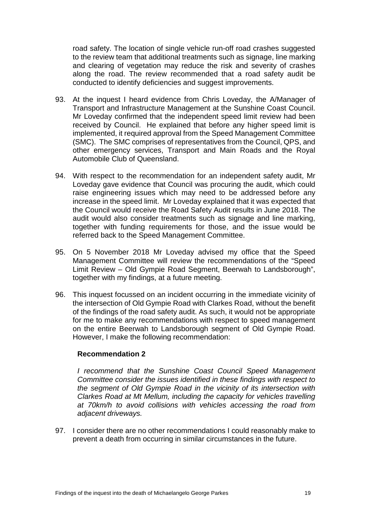road safety. The location of single vehicle run-off road crashes suggested to the review team that additional treatments such as signage, line marking and clearing of vegetation may reduce the risk and severity of crashes along the road. The review recommended that a road safety audit be conducted to identify deficiencies and suggest improvements.

- 93. At the inquest I heard evidence from Chris Loveday, the A/Manager of Transport and Infrastructure Management at the Sunshine Coast Council. Mr Loveday confirmed that the independent speed limit review had been received by Council. He explained that before any higher speed limit is implemented, it required approval from the Speed Management Committee (SMC). The SMC comprises of representatives from the Council, QPS, and other emergency services, Transport and Main Roads and the Royal Automobile Club of Queensland.
- 94. With respect to the recommendation for an independent safety audit, Mr Loveday gave evidence that Council was procuring the audit, which could raise engineering issues which may need to be addressed before any increase in the speed limit. Mr Loveday explained that it was expected that the Council would receive the Road Safety Audit results in June 2018. The audit would also consider treatments such as signage and line marking, together with funding requirements for those, and the issue would be referred back to the Speed Management Committee.
- 95. On 5 November 2018 Mr Loveday advised my office that the Speed Management Committee will review the recommendations of the "Speed Limit Review – Old Gympie Road Segment, Beerwah to Landsborough", together with my findings, at a future meeting.
- 96. This inquest focussed on an incident occurring in the immediate vicinity of the intersection of Old Gympie Road with Clarkes Road, without the benefit of the findings of the road safety audit. As such, it would not be appropriate for me to make any recommendations with respect to speed management on the entire Beerwah to Landsborough segment of Old Gympie Road. However, I make the following recommendation:

#### **Recommendation 2**

*I recommend that the Sunshine Coast Council Speed Management Committee consider the issues identified in these findings with respect to the segment of Old Gympie Road in the vicinity of its intersection with Clarkes Road at Mt Mellum, including the capacity for vehicles travelling at 70km/h to avoid collisions with vehicles accessing the road from adjacent driveways.*

97. I consider there are no other recommendations I could reasonably make to prevent a death from occurring in similar circumstances in the future.